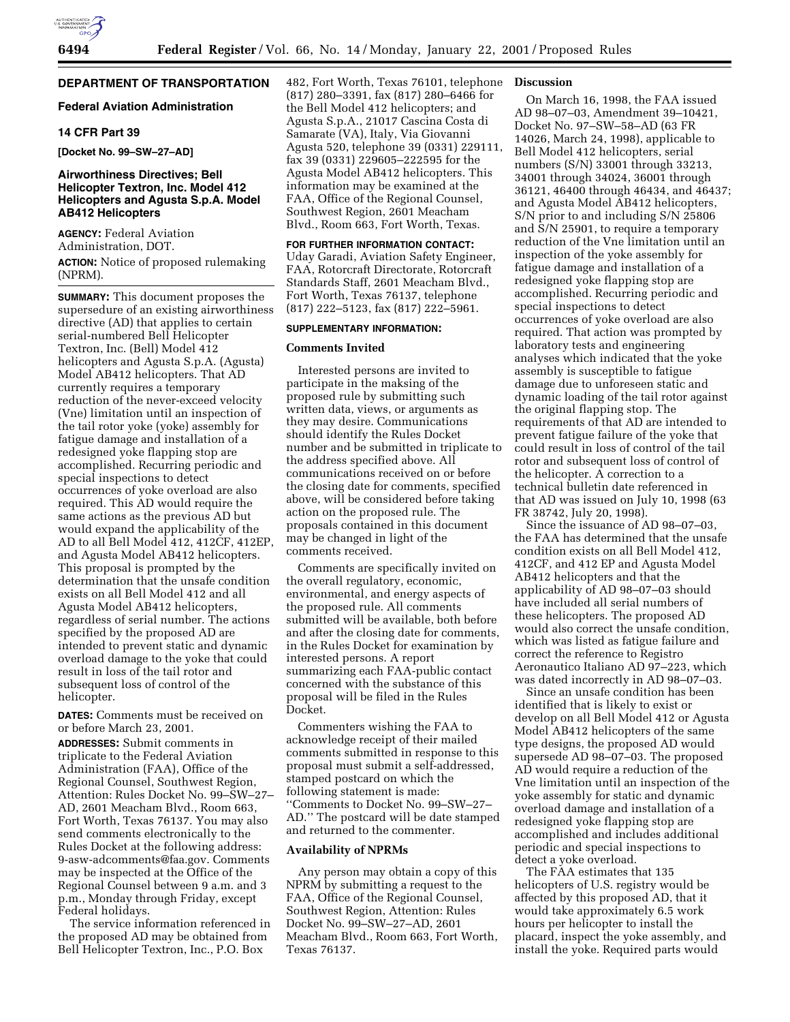# **DEPARTMENT OF TRANSPORTATION**

# **Federal Aviation Administration**

### **14 CFR Part 39**

**[Docket No. 99–SW–27–AD]**

# **Airworthiness Directives; Bell Helicopter Textron, Inc. Model 412 Helicopters and Agusta S.p.A. Model AB412 Helicopters**

**AGENCY:** Federal Aviation Administration, DOT. **ACTION:** Notice of proposed rulemaking (NPRM).

**SUMMARY:** This document proposes the supersedure of an existing airworthiness directive (AD) that applies to certain serial-numbered Bell Helicopter Textron, Inc. (Bell) Model 412 helicopters and Agusta S.p.A. (Agusta) Model AB412 helicopters. That AD currently requires a temporary reduction of the never-exceed velocity (Vne) limitation until an inspection of the tail rotor yoke (yoke) assembly for fatigue damage and installation of a redesigned yoke flapping stop are accomplished. Recurring periodic and special inspections to detect occurrences of yoke overload are also required. This AD would require the same actions as the previous AD but would expand the applicability of the AD to all Bell Model 412, 412CF, 412EP, and Agusta Model AB412 helicopters. This proposal is prompted by the determination that the unsafe condition exists on all Bell Model 412 and all Agusta Model AB412 helicopters, regardless of serial number. The actions specified by the proposed AD are intended to prevent static and dynamic overload damage to the yoke that could result in loss of the tail rotor and subsequent loss of control of the helicopter.

**DATES:** Comments must be received on or before March 23, 2001.

**ADDRESSES:** Submit comments in triplicate to the Federal Aviation Administration (FAA), Office of the Regional Counsel, Southwest Region, Attention: Rules Docket No. 99–SW–27– AD, 2601 Meacham Blvd., Room 663, Fort Worth, Texas 76137. You may also send comments electronically to the Rules Docket at the following address: 9-asw-adcomments@faa.gov. Comments may be inspected at the Office of the Regional Counsel between 9 a.m. and 3 p.m., Monday through Friday, except Federal holidays.

The service information referenced in the proposed AD may be obtained from Bell Helicopter Textron, Inc., P.O. Box

482, Fort Worth, Texas 76101, telephone (817) 280–3391, fax (817) 280–6466 for the Bell Model 412 helicopters; and Agusta S.p.A., 21017 Cascina Costa di Samarate (VA), Italy, Via Giovanni Agusta 520, telephone 39 (0331) 229111, fax 39 (0331) 229605–222595 for the Agusta Model AB412 helicopters. This information may be examined at the FAA, Office of the Regional Counsel, Southwest Region, 2601 Meacham Blvd., Room 663, Fort Worth, Texas.

#### **FOR FURTHER INFORMATION CONTACT:**

Uday Garadi, Aviation Safety Engineer, FAA, Rotorcraft Directorate, Rotorcraft Standards Staff, 2601 Meacham Blvd., Fort Worth, Texas 76137, telephone (817) 222–5123, fax (817) 222–5961.

### **SUPPLEMENTARY INFORMATION:**

# **Comments Invited**

Interested persons are invited to participate in the maksing of the proposed rule by submitting such written data, views, or arguments as they may desire. Communications should identify the Rules Docket number and be submitted in triplicate to the address specified above. All communications received on or before the closing date for comments, specified above, will be considered before taking action on the proposed rule. The proposals contained in this document may be changed in light of the comments received.

Comments are specifically invited on the overall regulatory, economic, environmental, and energy aspects of the proposed rule. All comments submitted will be available, both before and after the closing date for comments, in the Rules Docket for examination by interested persons. A report summarizing each FAA-public contact concerned with the substance of this proposal will be filed in the Rules Docket.

Commenters wishing the FAA to acknowledge receipt of their mailed comments submitted in response to this proposal must submit a self-addressed, stamped postcard on which the following statement is made: ''Comments to Docket No. 99–SW–27– AD.'' The postcard will be date stamped and returned to the commenter.

### **Availability of NPRMs**

Any person may obtain a copy of this NPRM by submitting a request to the FAA, Office of the Regional Counsel, Southwest Region, Attention: Rules Docket No. 99–SW–27–AD, 2601 Meacham Blvd., Room 663, Fort Worth, Texas 76137.

## **Discussion**

On March 16, 1998, the FAA issued AD 98–07–03, Amendment 39–10421, Docket No. 97–SW–58–AD (63 FR 14026, March 24, 1998), applicable to Bell Model 412 helicopters, serial numbers (S/N) 33001 through 33213, 34001 through 34024, 36001 through 36121, 46400 through 46434, and 46437; and Agusta Model AB412 helicopters, S/N prior to and including S/N 25806 and S/N 25901, to require a temporary reduction of the Vne limitation until an inspection of the yoke assembly for fatigue damage and installation of a redesigned yoke flapping stop are accomplished. Recurring periodic and special inspections to detect occurrences of yoke overload are also required. That action was prompted by laboratory tests and engineering analyses which indicated that the yoke assembly is susceptible to fatigue damage due to unforeseen static and dynamic loading of the tail rotor against the original flapping stop. The requirements of that AD are intended to prevent fatigue failure of the yoke that could result in loss of control of the tail rotor and subsequent loss of control of the helicopter. A correction to a technical bulletin date referenced in that AD was issued on July 10, 1998 (63 FR 38742, July 20, 1998).

Since the issuance of AD 98–07–03, the FAA has determined that the unsafe condition exists on all Bell Model 412, 412CF, and 412 EP and Agusta Model AB412 helicopters and that the applicability of AD 98–07–03 should have included all serial numbers of these helicopters. The proposed AD would also correct the unsafe condition, which was listed as fatigue failure and correct the reference to Registro Aeronautico Italiano AD 97–223, which was dated incorrectly in AD 98–07–03.

Since an unsafe condition has been identified that is likely to exist or develop on all Bell Model 412 or Agusta Model AB412 helicopters of the same type designs, the proposed AD would supersede AD 98–07–03. The proposed AD would require a reduction of the Vne limitation until an inspection of the yoke assembly for static and dynamic overload damage and installation of a redesigned yoke flapping stop are accomplished and includes additional periodic and special inspections to detect a yoke overload.

The FAA estimates that 135 helicopters of U.S. registry would be affected by this proposed AD, that it would take approximately 6.5 work hours per helicopter to install the placard, inspect the yoke assembly, and install the yoke. Required parts would